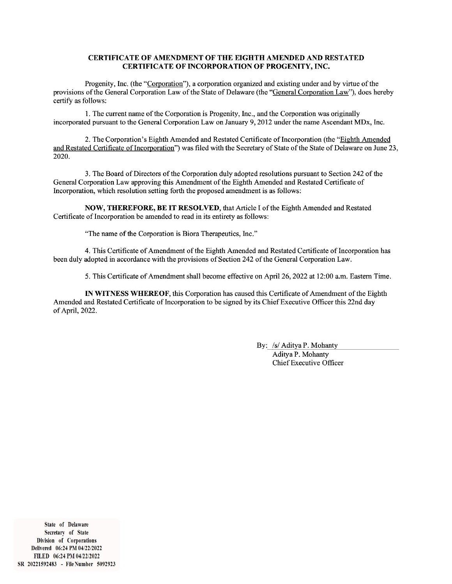#### CERTIFICATE OF AMENDMENT OF THE EIGHTH AMENDED AND RESTATED **CERTIFICATE OF INCORPORATION OF PROGENITY, INC.**

Progenity, Inc. (the "Corporation"), a corporation organized and existing under and by virtue of the provisions of the General Corporation Law of the State of Delaware (the "General Corporation Law"), does hereby certify as follows:

1. The current name of the Corporation is Progenity, Inc., and the Corporation was originally incorporated pursuant to the General Corporation Law on January 9, 2012 under the name Ascendant MDx, Inc.

2. The Corporation's Eighth Amended and Restated Certificate of Incorporation (the "Eighth Amended" and Restated Certificate of Incorporation") was filed with the Secretary of State of the State of Delaware on June 23, 2020.

3. The Board of Directors of the Corporation duly adopted resolutions pursuant to Section 242 of the General Corporation Law approving this Amendment of the Eighth Amended and Restated Certificate of Incorporation, which resolution setting forth the proposed amendment is as follows:

NOW, THEREFORE, BE IT RESOLVED, that Article I of the Eighth Amended and Restated Certificate of Incorporation be amended to read in its entirety as follows:

"The name of the Corporation is Biora Therapeutics, Inc."

4. This Certificate of Amendment of the Eighth Amended and Restated Certificate of Incorporation has been duly adopted in accordance with the provisions of Section 242 of the General Corporation Law.

5. This Certificate of Amendment shall become effective on April 26, 2022 at 12:00 a.m. Eastern Time.

IN WITNESS WHEREOF, this Corporation has caused this Certificate of Amendment of the Eighth Amended and Restated Certificate of Incorporation to be signed by its Chief Executive Officer this 22nd day of April, 2022.

> By: /s/ Aditya P. Mohanty Aditya P. Mohanty **Chief Executive Officer**

State of Delaware Secretary of State Division of Corporations Delivered 06:24 PM 04/22/2022 FILED 06:24 PM 04/22/2022 SR 20221592483 - File Number 5092923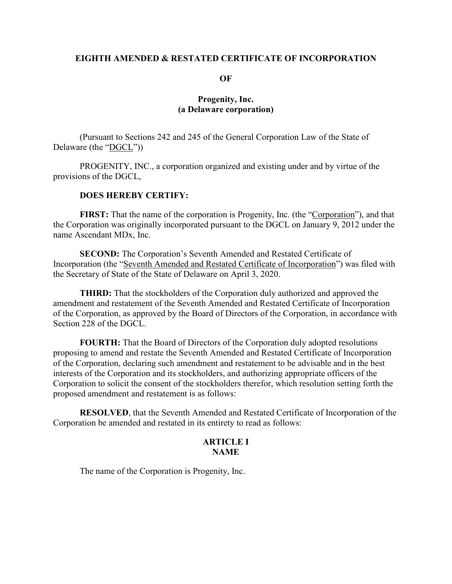#### **EIGHTH AMENDED & RESTATED CERTIFICATE OF INCORPORATION**

**OF**

# **Progenity, Inc. (a Delaware corporation)**

(Pursuant to Sections 242 and 245 of the General Corporation Law of the State of Delaware (the "DGCL"))

PROGENITY, INC., a corporation organized and existing under and by virtue of the provisions of the DGCL,

# **DOES HEREBY CERTIFY:**

**FIRST:** That the name of the corporation is Progenity, Inc. (the "Corporation"), and that the Corporation was originally incorporated pursuant to the DGCL on January 9, 2012 under the name Ascendant MDx, Inc.

**SECOND:** The Corporation's Seventh Amended and Restated Certificate of Incorporation (the "Seventh Amended and Restated Certificate of Incorporation") was filed with the Secretary of State of the State of Delaware on April 3, 2020.

**THIRD:** That the stockholders of the Corporation duly authorized and approved the amendment and restatement of the Seventh Amended and Restated Certificate of Incorporation of the Corporation, as approved by the Board of Directors of the Corporation, in accordance with Section 228 of the DGCL.

**FOURTH:** That the Board of Directors of the Corporation duly adopted resolutions proposing to amend and restate the Seventh Amended and Restated Certificate of Incorporation of the Corporation, declaring such amendment and restatement to be advisable and in the best interests of the Corporation and its stockholders, and authorizing appropriate officers of the Corporation to solicit the consent of the stockholders therefor, which resolution setting forth the proposed amendment and restatement is as follows:

**RESOLVED**, that the Seventh Amended and Restated Certificate of Incorporation of the Corporation be amended and restated in its entirety to read as follows:

# **ARTICLE I NAME**

The name of the Corporation is Progenity, Inc.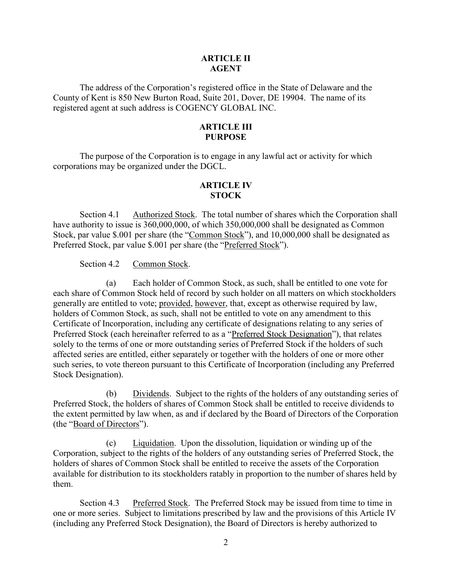### **ARTICLE II AGENT**

The address of the Corporation's registered office in the State of Delaware and the County of Kent is 850 New Burton Road, Suite 201, Dover, DE 19904. The name of its registered agent at such address is COGENCY GLOBAL INC.

## **ARTICLE III PURPOSE**

The purpose of the Corporation is to engage in any lawful act or activity for which corporations may be organized under the DGCL.

# **ARTICLE IV STOCK**

Section 4.1 Authorized Stock. The total number of shares which the Corporation shall have authority to issue is 360,000,000, of which 350,000,000 shall be designated as Common Stock, par value \$.001 per share (the "Common Stock"), and 10,000,000 shall be designated as Preferred Stock, par value \$.001 per share (the "Preferred Stock").

Section 4.2 Common Stock.

(a) Each holder of Common Stock, as such, shall be entitled to one vote for each share of Common Stock held of record by such holder on all matters on which stockholders generally are entitled to vote; provided, however, that, except as otherwise required by law, holders of Common Stock, as such, shall not be entitled to vote on any amendment to this Certificate of Incorporation, including any certificate of designations relating to any series of Preferred Stock (each hereinafter referred to as a "Preferred Stock Designation"), that relates solely to the terms of one or more outstanding series of Preferred Stock if the holders of such affected series are entitled, either separately or together with the holders of one or more other such series, to vote thereon pursuant to this Certificate of Incorporation (including any Preferred Stock Designation).

(b) Dividends. Subject to the rights of the holders of any outstanding series of Preferred Stock, the holders of shares of Common Stock shall be entitled to receive dividends to the extent permitted by law when, as and if declared by the Board of Directors of the Corporation (the "Board of Directors").

(c) Liquidation. Upon the dissolution, liquidation or winding up of the Corporation, subject to the rights of the holders of any outstanding series of Preferred Stock, the holders of shares of Common Stock shall be entitled to receive the assets of the Corporation available for distribution to its stockholders ratably in proportion to the number of shares held by them.

Section 4.3 Preferred Stock. The Preferred Stock may be issued from time to time in one or more series. Subject to limitations prescribed by law and the provisions of this Article IV (including any Preferred Stock Designation), the Board of Directors is hereby authorized to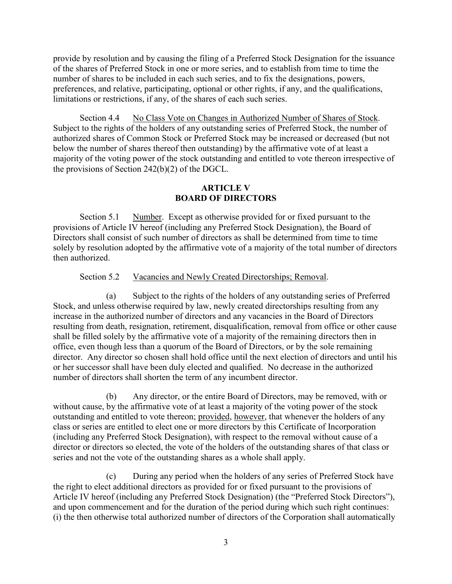provide by resolution and by causing the filing of a Preferred Stock Designation for the issuance of the shares of Preferred Stock in one or more series, and to establish from time to time the number of shares to be included in each such series, and to fix the designations, powers, preferences, and relative, participating, optional or other rights, if any, and the qualifications, limitations or restrictions, if any, of the shares of each such series.

Section 4.4 No Class Vote on Changes in Authorized Number of Shares of Stock. Subject to the rights of the holders of any outstanding series of Preferred Stock, the number of authorized shares of Common Stock or Preferred Stock may be increased or decreased (but not below the number of shares thereof then outstanding) by the affirmative vote of at least a majority of the voting power of the stock outstanding and entitled to vote thereon irrespective of the provisions of Section 242(b)(2) of the DGCL.

# **ARTICLE V BOARD OF DIRECTORS**

Section 5.1 Number. Except as otherwise provided for or fixed pursuant to the provisions of Article IV hereof (including any Preferred Stock Designation), the Board of Directors shall consist of such number of directors as shall be determined from time to time solely by resolution adopted by the affirmative vote of a majority of the total number of directors then authorized.

## Section 5.2 Vacancies and Newly Created Directorships; Removal.

(a) Subject to the rights of the holders of any outstanding series of Preferred Stock, and unless otherwise required by law, newly created directorships resulting from any increase in the authorized number of directors and any vacancies in the Board of Directors resulting from death, resignation, retirement, disqualification, removal from office or other cause shall be filled solely by the affirmative vote of a majority of the remaining directors then in office, even though less than a quorum of the Board of Directors, or by the sole remaining director. Any director so chosen shall hold office until the next election of directors and until his or her successor shall have been duly elected and qualified. No decrease in the authorized number of directors shall shorten the term of any incumbent director.

(b) Any director, or the entire Board of Directors, may be removed, with or without cause, by the affirmative vote of at least a majority of the voting power of the stock outstanding and entitled to vote thereon; provided, however, that whenever the holders of any class or series are entitled to elect one or more directors by this Certificate of Incorporation (including any Preferred Stock Designation), with respect to the removal without cause of a director or directors so elected, the vote of the holders of the outstanding shares of that class or series and not the vote of the outstanding shares as a whole shall apply.

(c) During any period when the holders of any series of Preferred Stock have the right to elect additional directors as provided for or fixed pursuant to the provisions of Article IV hereof (including any Preferred Stock Designation) (the "Preferred Stock Directors"), and upon commencement and for the duration of the period during which such right continues: (i) the then otherwise total authorized number of directors of the Corporation shall automatically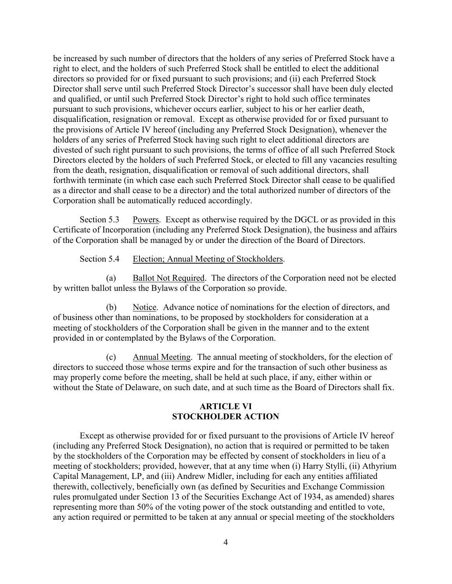be increased by such number of directors that the holders of any series of Preferred Stock have a right to elect, and the holders of such Preferred Stock shall be entitled to elect the additional directors so provided for or fixed pursuant to such provisions; and (ii) each Preferred Stock Director shall serve until such Preferred Stock Director's successor shall have been duly elected and qualified, or until such Preferred Stock Director's right to hold such office terminates pursuant to such provisions, whichever occurs earlier, subject to his or her earlier death, disqualification, resignation or removal. Except as otherwise provided for or fixed pursuant to the provisions of Article IV hereof (including any Preferred Stock Designation), whenever the holders of any series of Preferred Stock having such right to elect additional directors are divested of such right pursuant to such provisions, the terms of office of all such Preferred Stock Directors elected by the holders of such Preferred Stock, or elected to fill any vacancies resulting from the death, resignation, disqualification or removal of such additional directors, shall forthwith terminate (in which case each such Preferred Stock Director shall cease to be qualified as a director and shall cease to be a director) and the total authorized number of directors of the Corporation shall be automatically reduced accordingly.

Section 5.3 Powers. Except as otherwise required by the DGCL or as provided in this Certificate of Incorporation (including any Preferred Stock Designation), the business and affairs of the Corporation shall be managed by or under the direction of the Board of Directors.

Section 5.4 Election; Annual Meeting of Stockholders.

(a) Ballot Not Required. The directors of the Corporation need not be elected by written ballot unless the Bylaws of the Corporation so provide.

(b) Notice. Advance notice of nominations for the election of directors, and of business other than nominations, to be proposed by stockholders for consideration at a meeting of stockholders of the Corporation shall be given in the manner and to the extent provided in or contemplated by the Bylaws of the Corporation.

(c) Annual Meeting. The annual meeting of stockholders, for the election of directors to succeed those whose terms expire and for the transaction of such other business as may properly come before the meeting, shall be held at such place, if any, either within or without the State of Delaware, on such date, and at such time as the Board of Directors shall fix.

# **ARTICLE VI STOCKHOLDER ACTION**

Except as otherwise provided for or fixed pursuant to the provisions of Article IV hereof (including any Preferred Stock Designation), no action that is required or permitted to be taken by the stockholders of the Corporation may be effected by consent of stockholders in lieu of a meeting of stockholders; provided, however, that at any time when (i) Harry Stylli, (ii) Athyrium Capital Management, LP, and (iii) Andrew Midler, including for each any entities affiliated therewith, collectively, beneficially own (as defined by Securities and Exchange Commission rules promulgated under Section 13 of the Securities Exchange Act of 1934, as amended) shares representing more than 50% of the voting power of the stock outstanding and entitled to vote, any action required or permitted to be taken at any annual or special meeting of the stockholders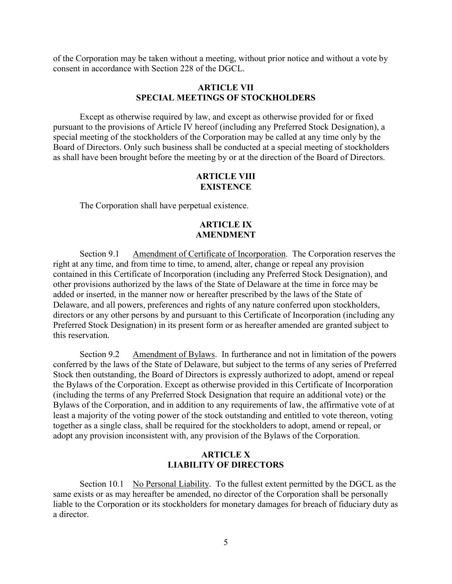of the Corporation may be taken without a meeting, without prior notice and without a vote by consent in accordance with Section 228 of the DGCL.

#### **ARTICLE VII SPECIAL MEETINGS OF STOCKHOLDERS**

Except as otherwise required by law, and except as otherwise provided for or fixed pursuant to the provisions of Article IV hereof (including any Preferred Stock Designation), a special meeting of the stockholders of the Corporation may be called at any time only by the Board of Directors. Only such business shall be conducted at a special meeting of stockholders as shall have been brought before the meeting by or at the direction of the Board of Directors.

# **ARTICLE VIII EXISTENCE**

The Corporation shall have perpetual existence.

## **ARTICLE IX AMENDMENT**

Section 9.1 Amendment of Certificate of Incorporation. The Corporation reserves the right at any time, and from time to time, to amend, alter, change or repeal any provision contained in this Certificate of Incorporation (including any Preferred Stock Designation), and other provisions authorized by the laws of the State of Delaware at the time in force may be added or inserted, in the manner now or hereafter prescribed by the laws of the State of Delaware, and all powers, preferences and rights of any nature conferred upon stockholders, directors or any other persons by and pursuant to this Certificate of Incorporation (including any Preferred Stock Designation) in its present form or as hereafter amended are granted subject to this reservation.

Section 9.2 Amendment of Bylaws. In furtherance and not in limitation of the powers conferred by the laws of the State of Delaware, but subject to the terms of any series of Preferred Stock then outstanding, the Board of Directors is expressly authorized to adopt, amend or repeal the Bylaws of the Corporation. Except as otherwise provided in this Certificate of Incorporation (including the terms of any Preferred Stock Designation that require an additional vote) or the Bylaws of the Corporation, and in addition to any requirements of law, the affirmative vote of at least a majority of the voting power of the stock outstanding and entitled to vote thereon, voting together as a single class, shall be required for the stockholders to adopt, amend or repeal, or adopt any provision inconsistent with, any provision of the Bylaws of the Corporation.

### **ARTICLE X LIABILITY OF DIRECTORS**

Section 10.1 No Personal Liability. To the fullest extent permitted by the DGCL as the same exists or as may hereafter be amended, no director of the Corporation shall be personally liable to the Corporation or its stockholders for monetary damages for breach of fiduciary duty as a director.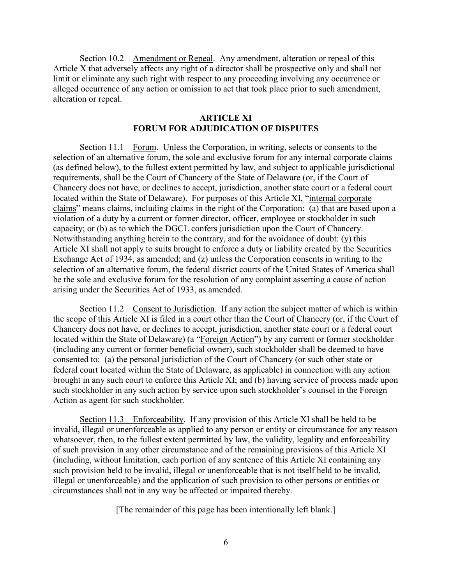Section 10.2 Amendment or Repeal. Any amendment, alteration or repeal of this Article X that adversely affects any right of a director shall be prospective only and shall not limit or eliminate any such right with respect to any proceeding involving any occurrence or alleged occurrence of any action or omission to act that took place prior to such amendment, alteration or repeal.

#### **ARTICLE XI FORUM FOR ADJUDICATION OF DISPUTES**

Section 11.1 Forum. Unless the Corporation, in writing, selects or consents to the selection of an alternative forum, the sole and exclusive forum for any internal corporate claims (as defined below), to the fullest extent permitted by law, and subject to applicable jurisdictional requirements, shall be the Court of Chancery of the State of Delaware (or, if the Court of Chancery does not have, or declines to accept, jurisdiction, another state court or a federal court located within the State of Delaware). For purposes of this Article XI, "internal corporate claims" means claims, including claims in the right of the Corporation: (a) that are based upon a violation of a duty by a current or former director, officer, employee or stockholder in such capacity; or (b) as to which the DGCL confers jurisdiction upon the Court of Chancery. Notwithstanding anything herein to the contrary, and for the avoidance of doubt: (y) this Article XI shall not apply to suits brought to enforce a duty or liability created by the Securities Exchange Act of 1934, as amended; and (z) unless the Corporation consents in writing to the selection of an alternative forum, the federal district courts of the United States of America shall be the sole and exclusive forum for the resolution of any complaint asserting a cause of action arising under the Securities Act of 1933, as amended.

Section 11.2 Consent to Jurisdiction. If any action the subject matter of which is within the scope of this Article XI is filed in a court other than the Court of Chancery (or, if the Court of Chancery does not have, or declines to accept, jurisdiction, another state court or a federal court located within the State of Delaware) (a "Foreign Action") by any current or former stockholder (including any current or former beneficial owner), such stockholder shall be deemed to have consented to: (a) the personal jurisdiction of the Court of Chancery (or such other state or federal court located within the State of Delaware, as applicable) in connection with any action brought in any such court to enforce this Article XI; and (b) having service of process made upon such stockholder in any such action by service upon such stockholder's counsel in the Foreign Action as agent for such stockholder.

Section 11.3 Enforceability. If any provision of this Article XI shall be held to be invalid, illegal or unenforceable as applied to any person or entity or circumstance for any reason whatsoever, then, to the fullest extent permitted by law, the validity, legality and enforceability of such provision in any other circumstance and of the remaining provisions of this Article XI (including, without limitation, each portion of any sentence of this Article XI containing any such provision held to be invalid, illegal or unenforceable that is not itself held to be invalid, illegal or unenforceable) and the application of such provision to other persons or entities or circumstances shall not in any way be affected or impaired thereby.

[The remainder of this page has been intentionally left blank.]